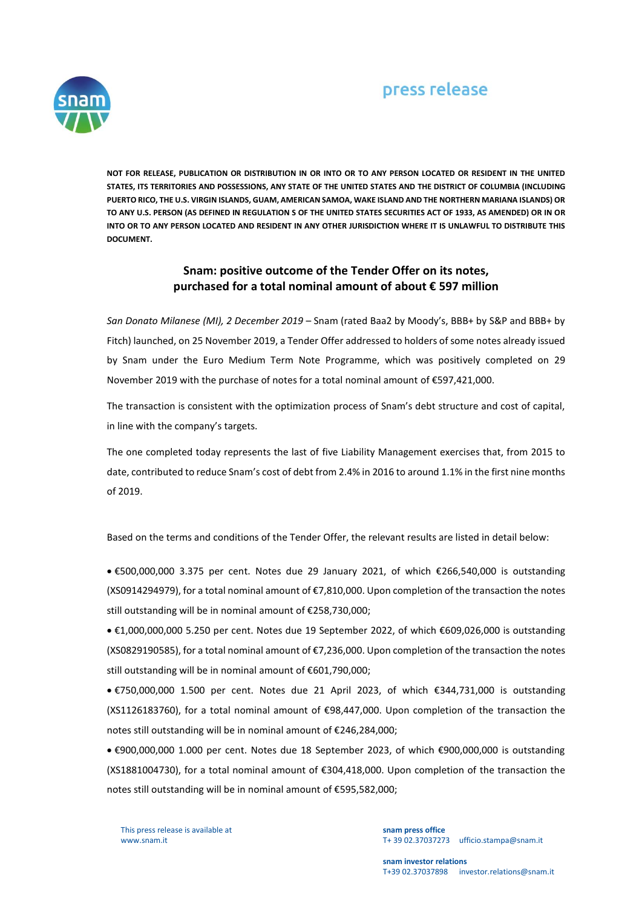## press release



**NOT FOR RELEASE, PUBLICATION OR DISTRIBUTION IN OR INTO OR TO ANY PERSON LOCATED OR RESIDENT IN THE UNITED STATES, ITS TERRITORIES AND POSSESSIONS, ANY STATE OF THE UNITED STATES AND THE DISTRICT OF COLUMBIA (INCLUDING PUERTO RICO, THE U.S. VIRGIN ISLANDS, GUAM, AMERICAN SAMOA, WAKE ISLAND AND THE NORTHERN MARIANA ISLANDS) OR TO ANY U.S. PERSON (AS DEFINED IN REGULATION S OF THE UNITED STATES SECURITIES ACT OF 1933, AS AMENDED) OR IN OR INTO OR TO ANY PERSON LOCATED AND RESIDENT IN ANY OTHER JURISDICTION WHERE IT IS UNLAWFUL TO DISTRIBUTE THIS DOCUMENT.**

## **Snam: positive outcome of the Tender Offer on its notes, purchased for a total nominal amount of about € 597 million**

*San Donato Milanese (MI), 2 December 2019* – Snam (rated Baa2 by Moody's, BBB+ by S&P and BBB+ by Fitch) launched, on 25 November 2019, a Tender Offer addressed to holders of some notes already issued by Snam under the Euro Medium Term Note Programme, which was positively completed on 29 November 2019 with the purchase of notes for a total nominal amount of €597,421,000.

The transaction is consistent with the optimization process of Snam's debt structure and cost of capital, in line with the company's targets.

The one completed today represents the last of five Liability Management exercises that, from 2015 to date, contributed to reduce Snam's cost of debt from 2.4% in 2016 to around 1.1% in the first nine months of 2019.

Based on the terms and conditions of the Tender Offer, the relevant results are listed in detail below:

 €500,000,000 3.375 per cent. Notes due 29 January 2021, of which €266,540,000 is outstanding (XS0914294979), for a total nominal amount of €7,810,000. Upon completion of the transaction the notes still outstanding will be in nominal amount of €258,730,000;

 €1,000,000,000 5.250 per cent. Notes due 19 September 2022, of which €609,026,000 is outstanding (XS0829190585), for a total nominal amount of €7,236,000. Upon completion of the transaction the notes still outstanding will be in nominal amount of €601,790,000;

 €750,000,000 1.500 per cent. Notes due 21 April 2023, of which €344,731,000 is outstanding (XS1126183760), for a total nominal amount of €98,447,000. Upon completion of the transaction the notes still outstanding will be in nominal amount of €246,284,000;

 €900,000,000 1.000 per cent. Notes due 18 September 2023, of which €900,000,000 is outstanding (XS1881004730), for a total nominal amount of €304,418,000. Upon completion of the transaction the notes still outstanding will be in nominal amount of €595,582,000;

This press release is available at www.snam.it

**snam press office** T+ 39 02.37037273 ufficio.stampa@snam.it